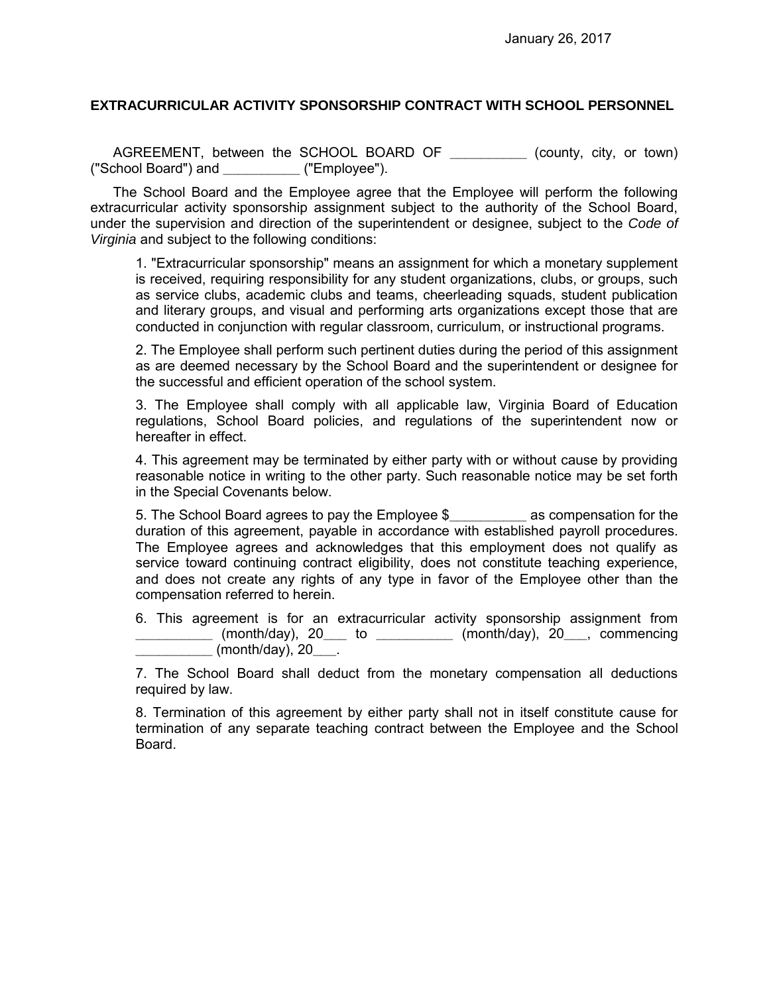## **EXTRACURRICULAR ACTIVITY SPONSORSHIP CONTRACT WITH SCHOOL PERSONNEL**

AGREEMENT, between the SCHOOL BOARD OF **\_\_\_\_\_\_\_\_\_\_** (county, city, or town) ("School Board") and **\_\_\_\_\_\_\_\_\_\_** ("Employee").

The School Board and the Employee agree that the Employee will perform the following extracurricular activity sponsorship assignment subject to the authority of the School Board, under the supervision and direction of the superintendent or designee, subject to the *Code of Virginia* and subject to the following conditions:

1. "Extracurricular sponsorship" means an assignment for which a monetary supplement is received, requiring responsibility for any student organizations, clubs, or groups, such as service clubs, academic clubs and teams, cheerleading squads, student publication and literary groups, and visual and performing arts organizations except those that are conducted in conjunction with regular classroom, curriculum, or instructional programs.

2. The Employee shall perform such pertinent duties during the period of this assignment as are deemed necessary by the School Board and the superintendent or designee for the successful and efficient operation of the school system.

3. The Employee shall comply with all applicable law, Virginia Board of Education regulations, School Board policies, and regulations of the superintendent now or hereafter in effect.

4. This agreement may be terminated by either party with or without cause by providing reasonable notice in writing to the other party. Such reasonable notice may be set forth in the Special Covenants below.

5. The School Board agrees to pay the Employee \$**\_\_\_\_\_\_\_\_\_\_** as compensation for the duration of this agreement, payable in accordance with established payroll procedures. The Employee agrees and acknowledges that this employment does not qualify as service toward continuing contract eligibility, does not constitute teaching experience, and does not create any rights of any type in favor of the Employee other than the compensation referred to herein.

6. This agreement is for an extracurricular activity sponsorship assignment from **\_\_\_\_\_\_\_\_\_\_** (month/day), 20**\_\_\_** to **\_\_\_\_\_\_\_\_\_\_** (month/day), 20**\_\_\_**, commencing **\_\_\_\_\_\_\_\_\_\_** (month/day), 20**\_\_\_**.

7. The School Board shall deduct from the monetary compensation all deductions required by law.

8. Termination of this agreement by either party shall not in itself constitute cause for termination of any separate teaching contract between the Employee and the School Board.